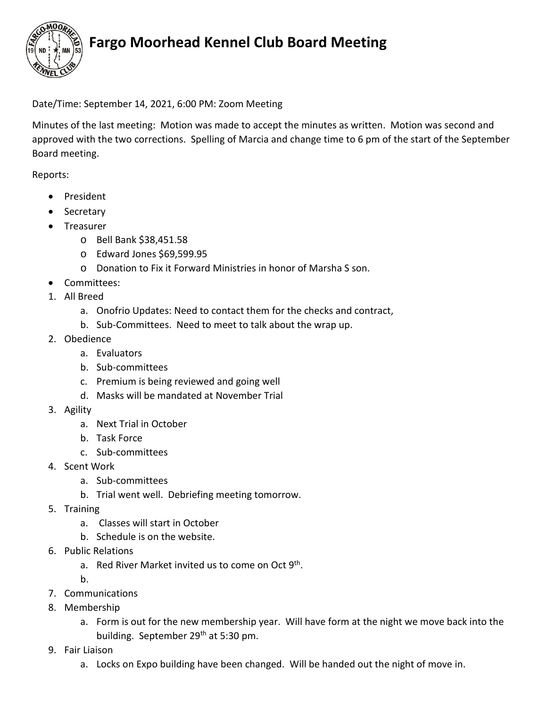

# **Fargo Moorhead Kennel Club Board Meeting**

#### Date/Time: September 14, 2021, 6:00 PM: Zoom Meeting

Minutes of the last meeting: Motion was made to accept the minutes as written. Motion was second and approved with the two corrections. Spelling of Marcia and change time to 6 pm of the start of the September Board meeting.

#### Reports:

- President
- Secretary
- Treasurer
	- o Bell Bank \$38,451.58
	- o Edward Jones \$69,599.95
	- o Donation to Fix it Forward Ministries in honor of Marsha S son.
- Committees:
- 1. All Breed
	- a. Onofrio Updates: Need to contact them for the checks and contract,
	- b. Sub-Committees. Need to meet to talk about the wrap up.
- 2. Obedience
	- a. Evaluators
	- b. Sub-committees
	- c. Premium is being reviewed and going well
	- d. Masks will be mandated at November Trial
- 3. Agility
	- a. Next Trial in October
	- b. Task Force
	- c. Sub-committees
- 4. Scent Work
	- a. Sub-committees
	- b. Trial went well. Debriefing meeting tomorrow.
- 5. Training
	- a. Classes will start in October
	- b. Schedule is on the website.
- 6. Public Relations
	- a. Red River Market invited us to come on Oct 9<sup>th</sup>.
	- b.
- 7. Communications
- 8. Membership
	- a. Form is out for the new membership year. Will have form at the night we move back into the building. September 29<sup>th</sup> at 5:30 pm.
- 9. Fair Liaison
	- a. Locks on Expo building have been changed. Will be handed out the night of move in.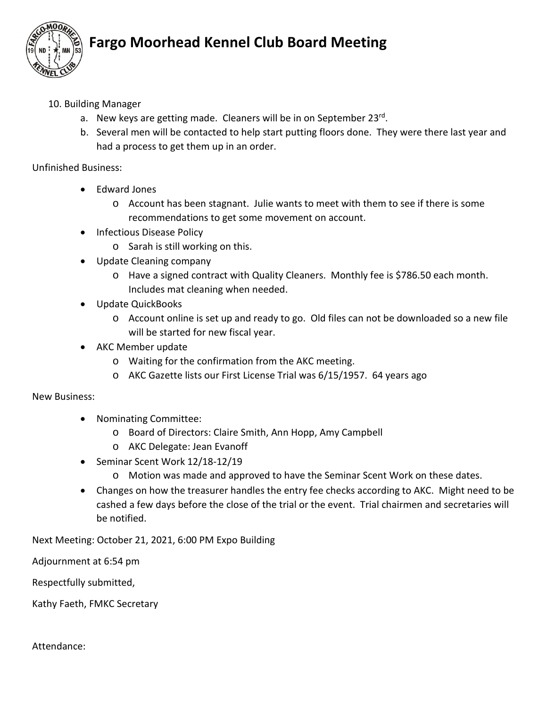

# **Fargo Moorhead Kennel Club Board Meeting**

### 10. Building Manager

- a. New keys are getting made. Cleaners will be in on September 23rd.
- b. Several men will be contacted to help start putting floors done. They were there last year and had a process to get them up in an order.

Unfinished Business:

- Edward Jones
	- o Account has been stagnant. Julie wants to meet with them to see if there is some recommendations to get some movement on account.
- Infectious Disease Policy
	- o Sarah is still working on this.
- Update Cleaning company
	- o Have a signed contract with Quality Cleaners. Monthly fee is \$786.50 each month. Includes mat cleaning when needed.
- Update QuickBooks
	- o Account online is set up and ready to go. Old files can not be downloaded so a new file will be started for new fiscal year.
- AKC Member update
	- o Waiting for the confirmation from the AKC meeting.
	- o AKC Gazette lists our First License Trial was 6/15/1957. 64 years ago

New Business:

- Nominating Committee:
	- o Board of Directors: Claire Smith, Ann Hopp, Amy Campbell
	- o AKC Delegate: Jean Evanoff
- Seminar Scent Work 12/18-12/19
	- o Motion was made and approved to have the Seminar Scent Work on these dates.
- Changes on how the treasurer handles the entry fee checks according to AKC. Might need to be cashed a few days before the close of the trial or the event. Trial chairmen and secretaries will be notified.

Next Meeting: October 21, 2021, 6:00 PM Expo Building

Adjournment at 6:54 pm

Respectfully submitted,

Kathy Faeth, FMKC Secretary

#### Attendance: